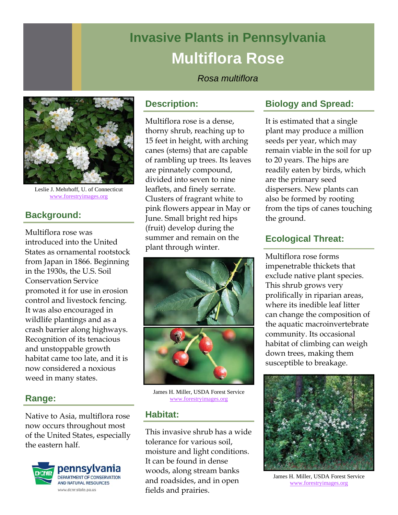# **Invasive Plants in Pennsylvania Multiflora Rose**

*Rosa multiflora* 



Leslie J. Mehrhoff, U. of Connecticut www.forestryimages.org

# **Background:**

Multiflora rose was introduced into the United States as ornamental rootstock from Japan in 1866. Beginning in the 1930s, the U.S. Soil Conservation Service promoted it for use in erosion control and livestock fencing. It was also encouraged in wildlife plantings and as a crash barrier along highways. Recognition of its tenacious and unstoppable growth habitat came too late, and it is now considered a noxious weed in many states.

## **Range:**

Native to Asia, multiflora rose now occurs throughout most of the United States, especially the eastern half.



#### **Description:**

Multiflora rose is a dense, thorny shrub, reaching up to 15 feet in height, with arching canes (stems) that are capable of rambling up trees. Its leaves are pinnately compound, divided into seven to nine leaflets, and finely serrate. Clusters of fragrant white to pink flowers appear in May or June. Small bright red hips (fruit) develop during the summer and remain on the plant through winter.



James H. Miller, USDA Forest Service www.forestryimages.org

## **Habitat:**

This invasive shrub has a wide tolerance for various soil, moisture and light conditions. It can be found in dense woods, along stream banks and roadsides, and in open fields and prairies.

# **Biology and Spread:**

It is estimated that a single plant may produce a million seeds per year, which may remain viable in the soil for up to 20 years. The hips are readily eaten by birds, which are the primary seed dispersers. New plants can also be formed by rooting from the tips of canes touching the ground.

## **Ecological Threat:**

Multiflora rose forms impenetrable thickets that exclude native plant species. This shrub grows very prolifically in riparian areas, where its inedible leaf litter can change the composition of the aquatic macroinvertebrate community. Its occasional habitat of climbing can weigh down trees, making them susceptible to breakage.



James H. Miller, USDA Forest Service www.forestryimages.org